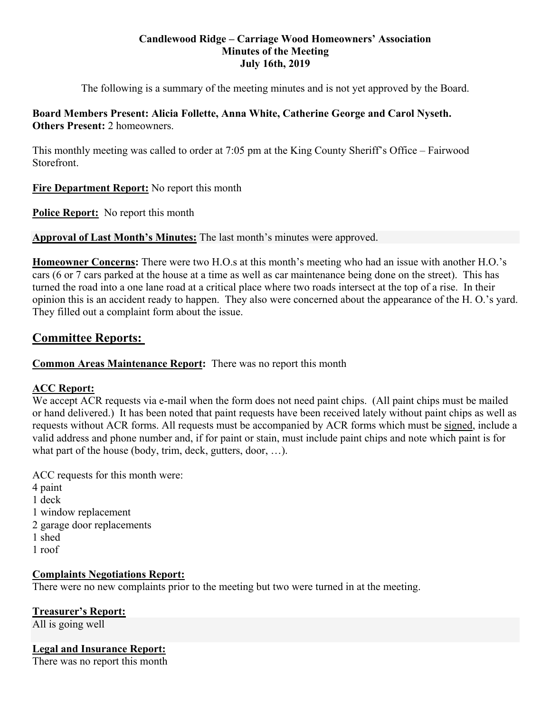## **Candlewood Ridge – Carriage Wood Homeowners' Association Minutes of the Meeting July 16th, 2019**

The following is a summary of the meeting minutes and is not yet approved by the Board.

**Board Members Present: Alicia Follette, Anna White, Catherine George and Carol Nyseth. Others Present: 2 homeowners.** 

This monthly meeting was called to order at 7:05 pm at the King County Sheriff's Office – Fairwood Storefront.

**Fire Department Report:** No report this month

**Police Report:** No report this month

**Approval of Last Month's Minutes:** The last month's minutes were approved.

**Homeowner Concerns:** There were two H.O.s at this month's meeting who had an issue with another H.O.'s cars (6 or 7 cars parked at the house at a time as well as car maintenance being done on the street). This has turned the road into a one lane road at a critical place where two roads intersect at the top of a rise. In their opinion this is an accident ready to happen. They also were concerned about the appearance of the H. O.'s yard. They filled out a complaint form about the issue.

# **Committee Reports:**

# **Common Areas Maintenance Report:** There was no report this month

# **ACC Report:**

We accept ACR requests via e-mail when the form does not need paint chips. (All paint chips must be mailed or hand delivered.) It has been noted that paint requests have been received lately without paint chips as well as requests without ACR forms. All requests must be accompanied by ACR forms which must be signed, include a valid address and phone number and, if for paint or stain, must include paint chips and note which paint is for what part of the house (body, trim, deck, gutters, door, …).

ACC requests for this month were:

- 4 paint
- 1 deck
- 1 window replacement
- 2 garage door replacements
- 1 shed
- 1 roof

# **Complaints Negotiations Report:**

There were no new complaints prior to the meeting but two were turned in at the meeting.

# **Treasurer's Report:**

All is going well

# **Legal and Insurance Report:**

There was no report this month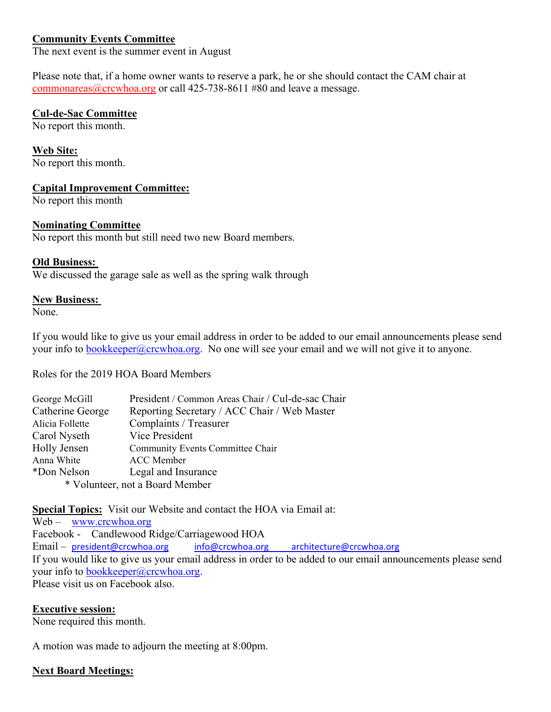# **Community Events Committee**

The next event is the summer event in August

Please note that, if a home owner wants to reserve a park, he or she should contact the CAM chair at commonareas@crcwhoa.org or call 425-738-8611 #80 and leave a message.

## **Cul-de-Sac Committee**

No report this month.

**Web Site:**  No report this month.

## **Capital Improvement Committee:**

No report this month

## **Nominating Committee**

No report this month but still need two new Board members.

## **Old Business:**

We discussed the garage sale as well as the spring walk through

## **New Business:**

None.

If you would like to give us your email address in order to be added to our email announcements please send your info to  $bookkeeper@crcwhoa.org. No one will see your email and we will not give it to anyone.$ </u>

Roles for the 2019 HOA Board Members

| George McGill                   | President / Common Areas Chair / Cul-de-sac Chair |
|---------------------------------|---------------------------------------------------|
| Catherine George                | Reporting Secretary / ACC Chair / Web Master      |
| Alicia Follette                 | Complaints / Treasurer                            |
| Carol Nyseth                    | Vice President                                    |
| Holly Jensen                    | Community Events Committee Chair                  |
| Anna White                      | <b>ACC</b> Member                                 |
| *Don Nelson                     | Legal and Insurance                               |
| * Volunteer, not a Board Member |                                                   |

**Special Topics:** Visit our Website and contact the HOA via Email at:

Web – www.crcwhoa.org Facebook - Candlewood Ridge/Carriagewood HOA Email – president@crcwhoa.org info@crcwhoa.org architecture@crcwhoa.org If you would like to give us your email address in order to be added to our email announcements please send your info to bookkeeper@crcwhoa.org. Please visit us on Facebook also.

## **Executive session:**

None required this month.

A motion was made to adjourn the meeting at 8:00pm.

## **Next Board Meetings:**